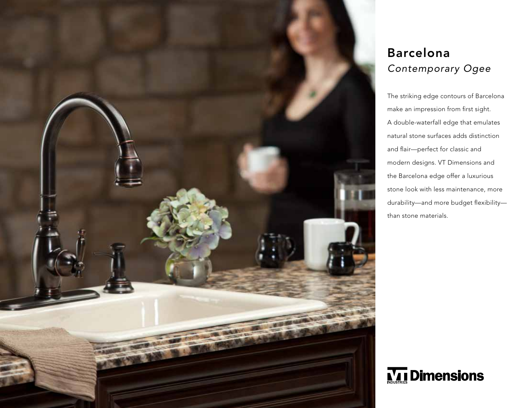

## Barcelona *Contemporary Ogee*

The striking edge contours of Barcelona make an impression from first sight. A double-waterfall edge that emulates natural stone surfaces adds distinction and flair—perfect for classic and modern designs. VT Dimensions and the Barcelona edge offer a luxurious stone look with less maintenance, more durability—and more budget flexibility than stone materials.